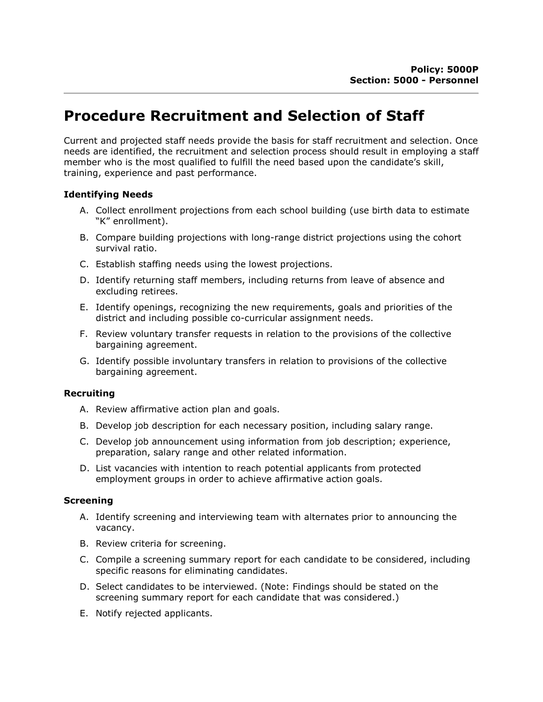# Procedure Recruitment and Selection of Staff

Current and projected staff needs provide the basis for staff recruitment and selection. Once needs are identified, the recruitment and selection process should result in employing a staff member who is the most qualified to fulfill the need based upon the candidate's skill, training, experience and past performance.

### Identifying Needs

- A. Collect enrollment projections from each school building (use birth data to estimate "K" enrollment).
- B. Compare building projections with long-range district projections using the cohort survival ratio.
- C. Establish staffing needs using the lowest projections.
- D. Identify returning staff members, including returns from leave of absence and excluding retirees.
- E. Identify openings, recognizing the new requirements, goals and priorities of the district and including possible co-curricular assignment needs.
- F. Review voluntary transfer requests in relation to the provisions of the collective bargaining agreement.
- G. Identify possible involuntary transfers in relation to provisions of the collective bargaining agreement.

### Recruiting

- A. Review affirmative action plan and goals.
- B. Develop job description for each necessary position, including salary range.
- C. Develop job announcement using information from job description; experience, preparation, salary range and other related information.
- D. List vacancies with intention to reach potential applicants from protected employment groups in order to achieve affirmative action goals.

### Screening

- A. Identify screening and interviewing team with alternates prior to announcing the vacancy.
- B. Review criteria for screening.
- C. Compile a screening summary report for each candidate to be considered, including specific reasons for eliminating candidates.
- D. Select candidates to be interviewed. (Note: Findings should be stated on the screening summary report for each candidate that was considered.)
- E. Notify rejected applicants.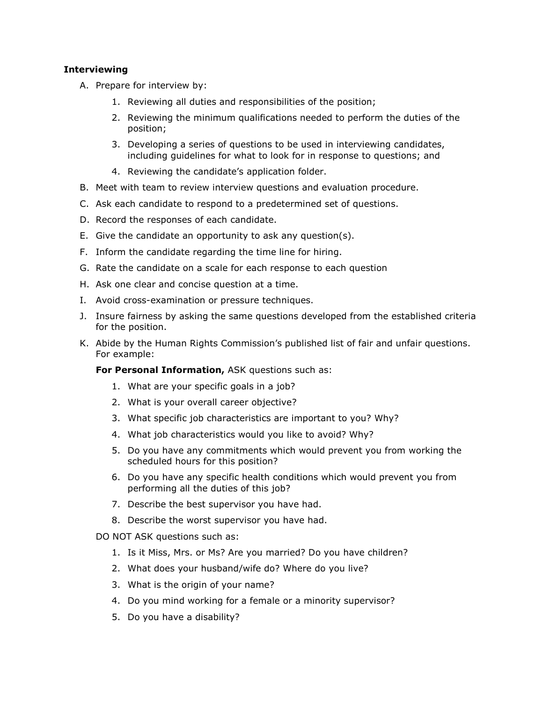## **Interviewing**

- A. Prepare for interview by:
	- 1. Reviewing all duties and responsibilities of the position;
	- 2. Reviewing the minimum qualifications needed to perform the duties of the position;
	- 3. Developing a series of questions to be used in interviewing candidates, including guidelines for what to look for in response to questions; and
	- 4. Reviewing the candidate's application folder.
- B. Meet with team to review interview questions and evaluation procedure.
- C. Ask each candidate to respond to a predetermined set of questions.
- D. Record the responses of each candidate.
- E. Give the candidate an opportunity to ask any question(s).
- F. Inform the candidate regarding the time line for hiring.
- G. Rate the candidate on a scale for each response to each question
- H. Ask one clear and concise question at a time.
- I. Avoid cross-examination or pressure techniques.
- J. Insure fairness by asking the same questions developed from the established criteria for the position.
- K. Abide by the Human Rights Commission's published list of fair and unfair questions. For example:

For Personal Information, ASK questions such as:

- 1. What are your specific goals in a job?
- 2. What is your overall career objective?
- 3. What specific job characteristics are important to you? Why?
- 4. What job characteristics would you like to avoid? Why?
- 5. Do you have any commitments which would prevent you from working the scheduled hours for this position?
- 6. Do you have any specific health conditions which would prevent you from performing all the duties of this job?
- 7. Describe the best supervisor you have had.
- 8. Describe the worst supervisor you have had.

DO NOT ASK questions such as:

- 1. Is it Miss, Mrs. or Ms? Are you married? Do you have children?
- 2. What does your husband/wife do? Where do you live?
- 3. What is the origin of your name?
- 4. Do you mind working for a female or a minority supervisor?
- 5. Do you have a disability?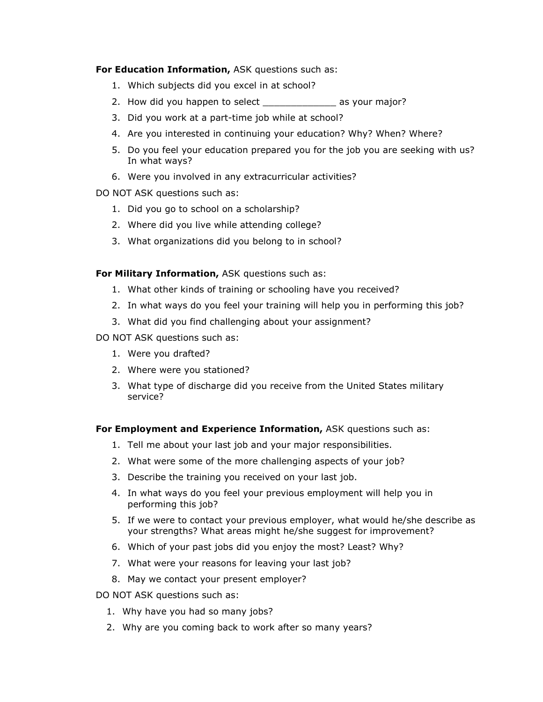For Education Information, ASK questions such as:

- 1. Which subjects did you excel in at school?
- 2. How did you happen to select \_\_\_\_\_\_\_\_\_\_\_\_\_\_\_ as your major?
- 3. Did you work at a part-time job while at school?
- 4. Are you interested in continuing your education? Why? When? Where?
- 5. Do you feel your education prepared you for the job you are seeking with us? In what ways?
- 6. Were you involved in any extracurricular activities?
- DO NOT ASK questions such as:
	- 1. Did you go to school on a scholarship?
	- 2. Where did you live while attending college?
	- 3. What organizations did you belong to in school?

For Military Information, ASK questions such as:

- 1. What other kinds of training or schooling have you received?
- 2. In what ways do you feel your training will help you in performing this job?
- 3. What did you find challenging about your assignment?

DO NOT ASK questions such as:

- 1. Were you drafted?
- 2. Where were you stationed?
- 3. What type of discharge did you receive from the United States military service?

### For Employment and Experience Information, ASK questions such as:

- 1. Tell me about your last job and your major responsibilities.
- 2. What were some of the more challenging aspects of your job?
- 3. Describe the training you received on your last job.
- 4. In what ways do you feel your previous employment will help you in performing this job?
- 5. If we were to contact your previous employer, what would he/she describe as your strengths? What areas might he/she suggest for improvement?
- 6. Which of your past jobs did you enjoy the most? Least? Why?
- 7. What were your reasons for leaving your last job?
- 8. May we contact your present employer?

DO NOT ASK questions such as:

- 1. Why have you had so many jobs?
- 2. Why are you coming back to work after so many years?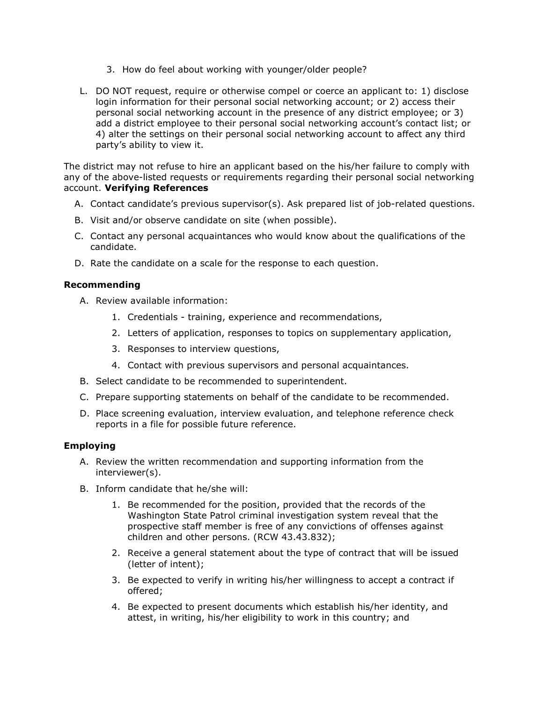- 3. How do feel about working with younger/older people?
- L. DO NOT request, require or otherwise compel or coerce an applicant to: 1) disclose login information for their personal social networking account; or 2) access their personal social networking account in the presence of any district employee; or 3) add a district employee to their personal social networking account's contact list; or 4) alter the settings on their personal social networking account to affect any third party's ability to view it.

The district may not refuse to hire an applicant based on the his/her failure to comply with any of the above-listed requests or requirements regarding their personal social networking account. Verifying References

- A. Contact candidate's previous supervisor(s). Ask prepared list of job-related questions.
- B. Visit and/or observe candidate on site (when possible).
- C. Contact any personal acquaintances who would know about the qualifications of the candidate.
- D. Rate the candidate on a scale for the response to each question.

## Recommending

- A. Review available information:
	- 1. Credentials training, experience and recommendations,
	- 2. Letters of application, responses to topics on supplementary application,
	- 3. Responses to interview questions,
	- 4. Contact with previous supervisors and personal acquaintances.
- B. Select candidate to be recommended to superintendent.
- C. Prepare supporting statements on behalf of the candidate to be recommended.
- D. Place screening evaluation, interview evaluation, and telephone reference check reports in a file for possible future reference.

## Employing

- A. Review the written recommendation and supporting information from the interviewer(s).
- B. Inform candidate that he/she will:
	- 1. Be recommended for the position, provided that the records of the Washington State Patrol criminal investigation system reveal that the prospective staff member is free of any convictions of offenses against children and other persons. (RCW 43.43.832);
	- 2. Receive a general statement about the type of contract that will be issued (letter of intent);
	- 3. Be expected to verify in writing his/her willingness to accept a contract if offered;
	- 4. Be expected to present documents which establish his/her identity, and attest, in writing, his/her eligibility to work in this country; and